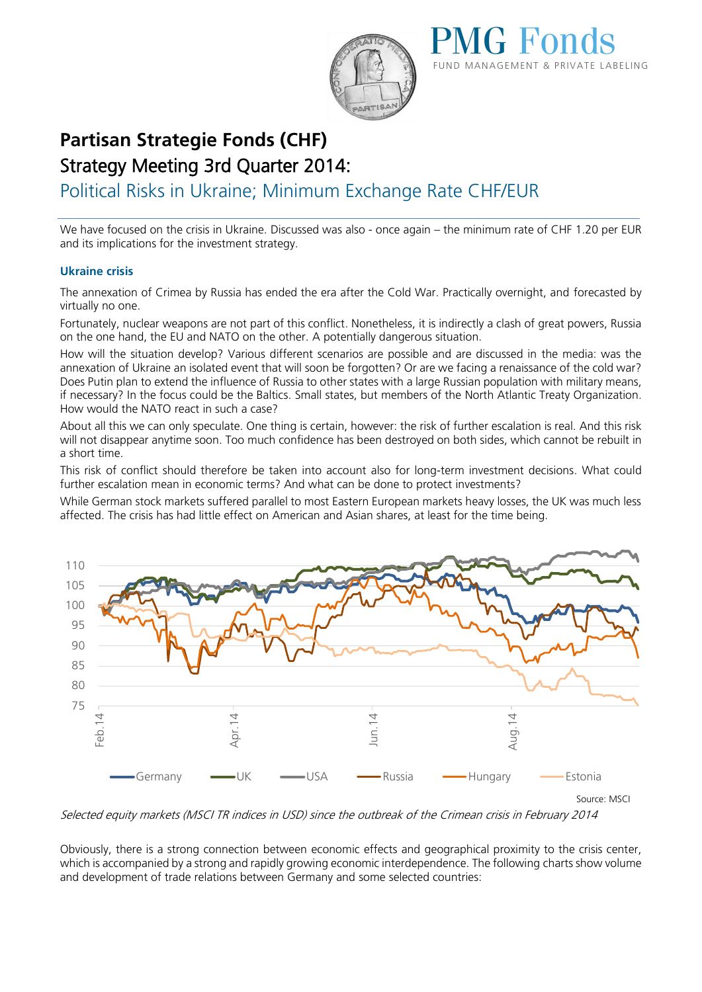



# **Partisan Strategie Fonds (CHF)**  Strategy Meeting 3rd Quarter 2014:

Political Risks in Ukraine; Minimum Exchange Rate CHF/EUR

We have focused on the crisis in Ukraine. Discussed was also - once again – the minimum rate of CHF 1.20 per EUR and its implications for the investment strategy.

## **Ukraine crisis**

The annexation of Crimea by Russia has ended the era after the Cold War. Practically overnight, and forecasted by virtually no one.

Fortunately, nuclear weapons are not part of this conflict. Nonetheless, it is indirectly a clash of great powers, Russia on the one hand, the EU and NATO on the other. A potentially dangerous situation.

How will the situation develop? Various different scenarios are possible and are discussed in the media: was the annexation of Ukraine an isolated event that will soon be forgotten? Or are we facing a renaissance of the cold war? Does Putin plan to extend the influence of Russia to other states with a large Russian population with military means, if necessary? In the focus could be the Baltics. Small states, but members of the North Atlantic Treaty Organization. How would the NATO react in such a case?

About all this we can only speculate. One thing is certain, however: the risk of further escalation is real. And this risk will not disappear anytime soon. Too much confidence has been destroyed on both sides, which cannot be rebuilt in a short time.

This risk of conflict should therefore be taken into account also for long-term investment decisions. What could further escalation mean in economic terms? And what can be done to protect investments?

While German stock markets suffered parallel to most Eastern European markets heavy losses, the UK was much less affected. The crisis has had little effect on American and Asian shares, at least for the time being.



Selected equity markets (MSCI TR indices in USD) since the outbreak of the Crimean crisis in February 2014

Obviously, there is a strong connection between economic effects and geographical proximity to the crisis center, which is accompanied by a strong and rapidly growing economic interdependence. The following charts show volume and development of trade relations between Germany and some selected countries: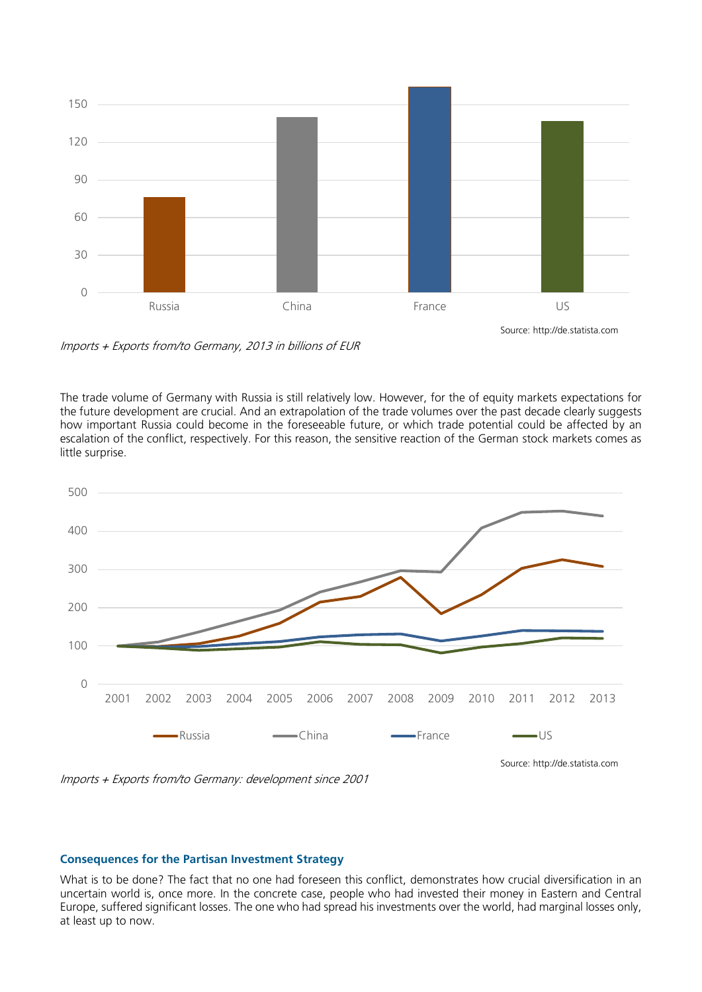

Imports + Exports from/to Germany, 2013 in billions of EUR

The trade volume of Germany with Russia is still relatively low. However, for the of equity markets expectations for the future development are crucial. And an extrapolation of the trade volumes over the past decade clearly suggests how important Russia could become in the foreseeable future, or which trade potential could be affected by an escalation of the conflict, respectively. For this reason, the sensitive reaction of the German stock markets comes as little surprise.



Imports + Exports from/to Germany: development since 2001

#### **Consequences for the Partisan Investment Strategy**

What is to be done? The fact that no one had foreseen this conflict, demonstrates how crucial diversification in an uncertain world is, once more. In the concrete case, people who had invested their money in Eastern and Central Europe, suffered significant losses. The one who had spread his investments over the world, had marginal losses only, at least up to now.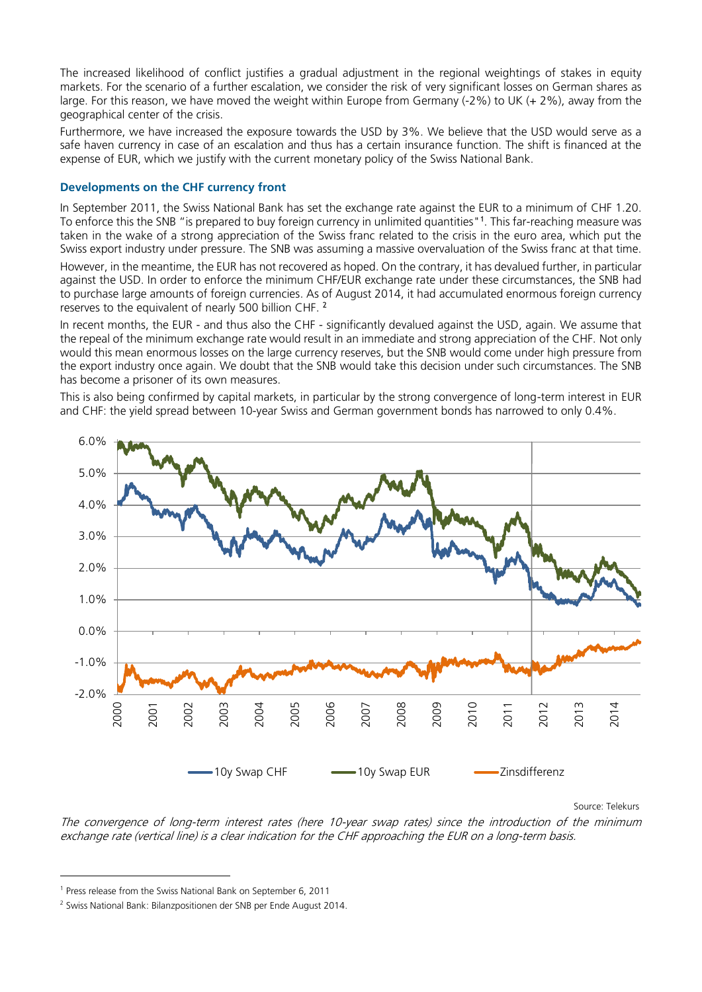The increased likelihood of conflict justifies a gradual adjustment in the regional weightings of stakes in equity markets. For the scenario of a further escalation, we consider the risk of very significant losses on German shares as large. For this reason, we have moved the weight within Europe from Germany (-2%) to UK (+ 2%), away from the geographical center of the crisis.

Furthermore, we have increased the exposure towards the USD by 3%. We believe that the USD would serve as a safe haven currency in case of an escalation and thus has a certain insurance function. The shift is financed at the expense of EUR, which we justify with the current monetary policy of the Swiss National Bank.

### **Developments on the CHF currency front**

In September 2011, the Swiss National Bank has set the exchange rate against the EUR to a minimum of CHF 1.20. To enforce this the SNB "is prepared to buy foreign currency in unlimited quantities"<sup>1</sup>. This far-reaching measure was taken in the wake of a strong appreciation of the Swiss franc related to the crisis in the euro area, which put the Swiss export industry under pressure. The SNB was assuming a massive overvaluation of the Swiss franc at that time. However, in the meantime, the EUR has not recovered as hoped. On the contrary, it has devalued further, in particular against the USD. In order to enforce the minimum CHF/EUR exchange rate under these circumstances, the SNB had to purchase large amounts of foreign currencies. As of August 2014, it had accumulated enormous foreign currency reserves to the equivalent of nearly 500 billion CHF.<sup>2</sup>

In recent months, the EUR - and thus also the CHF - significantly devalued against the USD, again. We assume that the repeal of the minimum exchange rate would result in an immediate and strong appreciation of the CHF. Not only would this mean enormous losses on the large currency reserves, but the SNB would come under high pressure from the export industry once again. We doubt that the SNB would take this decision under such circumstances. The SNB has become a prisoner of its own measures.

This is also being confirmed by capital markets, in particular by the strong convergence of long-term interest in EUR and CHF: the yield spread between 10-year Swiss and German government bonds has narrowed to only 0.4%.



Source: Telekurs

The convergence of long-term interest rates (here 10-year swap rates) since the introduction of the minimum exchange rate (vertical line) is a clear indication for the CHF approaching the EUR on a long-term basis.

-

<sup>1</sup> Press release from the Swiss National Bank on September 6, 2011

<sup>2</sup> Swiss National Bank: Bilanzpositionen der SNB per Ende August 2014.